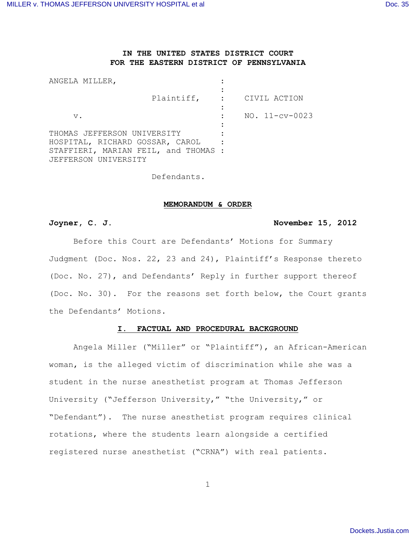# **IN THE UNITED STATES DISTRICT COURT FOR THE EASTERN DISTRICT OF PENNSYLVANIA**

| ANGELA MILLER,                                                          |                           |                  |
|-------------------------------------------------------------------------|---------------------------|------------------|
|                                                                         | Plaintiff, : CIVIL ACTION |                  |
| $V$ .                                                                   |                           | $NO. 11-cv-0023$ |
| THOMAS JEFFERSON UNIVERSITY                                             |                           |                  |
| HOSPITAL, RICHARD GOSSAR, CAROL<br>STAFFIERI, MARIAN FEIL, and THOMAS : |                           |                  |
| JEFFERSON UNIVERSITY                                                    |                           |                  |

Defendants.

## **MEMORANDUM & ORDER**

# **Joyner, C. J. November 15, 2012**

Before this Court are Defendants' Motions for Summary Judgment (Doc. Nos. 22, 23 and 24), Plaintiff's Response thereto (Doc. No. 27), and Defendants' Reply in further support thereof (Doc. No. 30). For the reasons set forth below, the Court grants the Defendants' Motions.

# **I. FACTUAL AND PROCEDURAL BACKGROUND**

Angela Miller ("Miller" or "Plaintiff"), an African-American woman, is the alleged victim of discrimination while she was a student in the nurse anesthetist program at Thomas Jefferson University ("Jefferson University," "the University," or "Defendant"). The nurse anesthetist program requires clinical rotations, where the students learn alongside a certified registered nurse anesthetist ("CRNA") with real patients.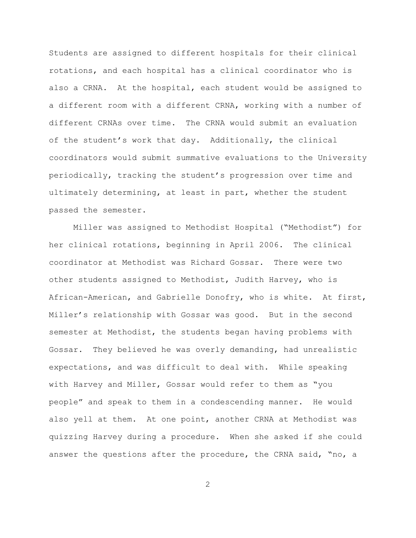Students are assigned to different hospitals for their clinical rotations, and each hospital has a clinical coordinator who is also a CRNA. At the hospital, each student would be assigned to a different room with a different CRNA, working with a number of different CRNAs over time. The CRNA would submit an evaluation of the student's work that day. Additionally, the clinical coordinators would submit summative evaluations to the University periodically, tracking the student's progression over time and ultimately determining, at least in part, whether the student passed the semester.

Miller was assigned to Methodist Hospital ("Methodist") for her clinical rotations, beginning in April 2006. The clinical coordinator at Methodist was Richard Gossar. There were two other students assigned to Methodist, Judith Harvey, who is African-American, and Gabrielle Donofry, who is white. At first, Miller's relationship with Gossar was good. But in the second semester at Methodist, the students began having problems with Gossar. They believed he was overly demanding, had unrealistic expectations, and was difficult to deal with. While speaking with Harvey and Miller, Gossar would refer to them as "you people" and speak to them in a condescending manner. He would also yell at them. At one point, another CRNA at Methodist was quizzing Harvey during a procedure. When she asked if she could answer the questions after the procedure, the CRNA said, "no, a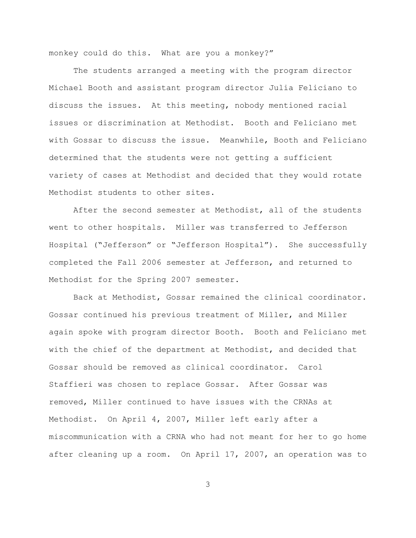monkey could do this. What are you a monkey?"

The students arranged a meeting with the program director Michael Booth and assistant program director Julia Feliciano to discuss the issues. At this meeting, nobody mentioned racial issues or discrimination at Methodist. Booth and Feliciano met with Gossar to discuss the issue. Meanwhile, Booth and Feliciano determined that the students were not getting a sufficient variety of cases at Methodist and decided that they would rotate Methodist students to other sites.

After the second semester at Methodist, all of the students went to other hospitals. Miller was transferred to Jefferson Hospital ("Jefferson" or "Jefferson Hospital"). She successfully completed the Fall 2006 semester at Jefferson, and returned to Methodist for the Spring 2007 semester.

Back at Methodist, Gossar remained the clinical coordinator. Gossar continued his previous treatment of Miller, and Miller again spoke with program director Booth. Booth and Feliciano met with the chief of the department at Methodist, and decided that Gossar should be removed as clinical coordinator. Carol Staffieri was chosen to replace Gossar. After Gossar was removed, Miller continued to have issues with the CRNAs at Methodist. On April 4, 2007, Miller left early after a miscommunication with a CRNA who had not meant for her to go home after cleaning up a room. On April 17, 2007, an operation was to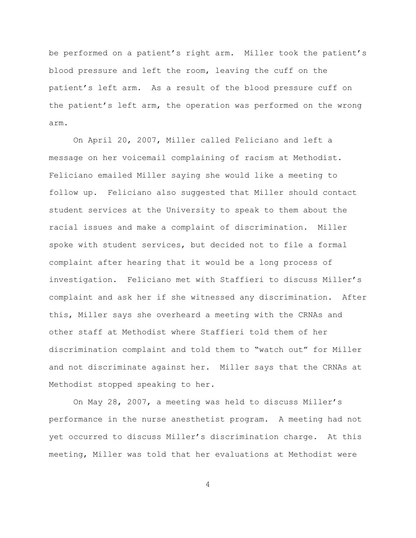be performed on a patient's right arm. Miller took the patient's blood pressure and left the room, leaving the cuff on the patient's left arm. As a result of the blood pressure cuff on the patient's left arm, the operation was performed on the wrong arm.

On April 20, 2007, Miller called Feliciano and left a message on her voicemail complaining of racism at Methodist. Feliciano emailed Miller saying she would like a meeting to follow up. Feliciano also suggested that Miller should contact student services at the University to speak to them about the racial issues and make a complaint of discrimination. Miller spoke with student services, but decided not to file a formal complaint after hearing that it would be a long process of investigation. Feliciano met with Staffieri to discuss Miller's complaint and ask her if she witnessed any discrimination. After this, Miller says she overheard a meeting with the CRNAs and other staff at Methodist where Staffieri told them of her discrimination complaint and told them to "watch out" for Miller and not discriminate against her. Miller says that the CRNAs at Methodist stopped speaking to her.

On May 28, 2007, a meeting was held to discuss Miller's performance in the nurse anesthetist program. A meeting had not yet occurred to discuss Miller's discrimination charge. At this meeting, Miller was told that her evaluations at Methodist were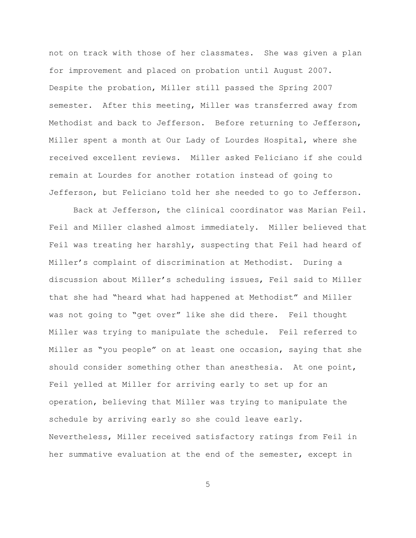not on track with those of her classmates. She was given a plan for improvement and placed on probation until August 2007. Despite the probation, Miller still passed the Spring 2007 semester. After this meeting, Miller was transferred away from Methodist and back to Jefferson. Before returning to Jefferson, Miller spent a month at Our Lady of Lourdes Hospital, where she received excellent reviews. Miller asked Feliciano if she could remain at Lourdes for another rotation instead of going to Jefferson, but Feliciano told her she needed to go to Jefferson.

Back at Jefferson, the clinical coordinator was Marian Feil. Feil and Miller clashed almost immediately. Miller believed that Feil was treating her harshly, suspecting that Feil had heard of Miller's complaint of discrimination at Methodist. During a discussion about Miller's scheduling issues, Feil said to Miller that she had "heard what had happened at Methodist" and Miller was not going to "get over" like she did there. Feil thought Miller was trying to manipulate the schedule. Feil referred to Miller as "you people" on at least one occasion, saying that she should consider something other than anesthesia. At one point, Feil yelled at Miller for arriving early to set up for an operation, believing that Miller was trying to manipulate the schedule by arriving early so she could leave early. Nevertheless, Miller received satisfactory ratings from Feil in her summative evaluation at the end of the semester, except in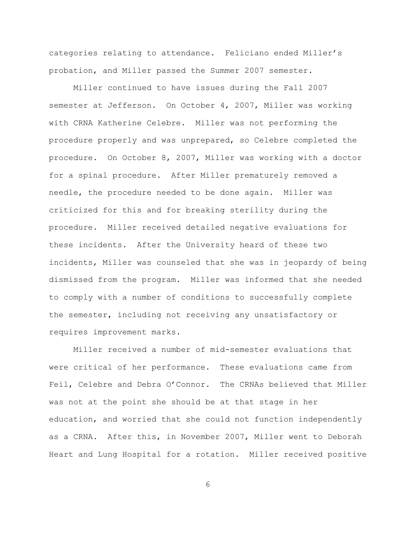categories relating to attendance. Feliciano ended Miller's probation, and Miller passed the Summer 2007 semester.

Miller continued to have issues during the Fall 2007 semester at Jefferson. On October 4, 2007, Miller was working with CRNA Katherine Celebre. Miller was not performing the procedure properly and was unprepared, so Celebre completed the procedure. On October 8, 2007, Miller was working with a doctor for a spinal procedure. After Miller prematurely removed a needle, the procedure needed to be done again. Miller was criticized for this and for breaking sterility during the procedure. Miller received detailed negative evaluations for these incidents. After the University heard of these two incidents, Miller was counseled that she was in jeopardy of being dismissed from the program. Miller was informed that she needed to comply with a number of conditions to successfully complete the semester, including not receiving any unsatisfactory or requires improvement marks.

Miller received a number of mid-semester evaluations that were critical of her performance. These evaluations came from Feil, Celebre and Debra O'Connor. The CRNAs believed that Miller was not at the point she should be at that stage in her education, and worried that she could not function independently as a CRNA. After this, in November 2007, Miller went to Deborah Heart and Lung Hospital for a rotation. Miller received positive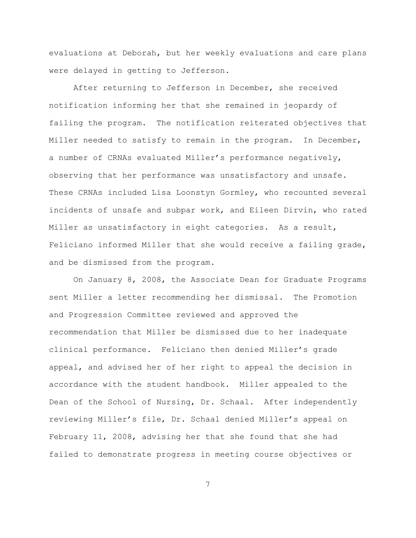evaluations at Deborah, but her weekly evaluations and care plans were delayed in getting to Jefferson.

After returning to Jefferson in December, she received notification informing her that she remained in jeopardy of failing the program. The notification reiterated objectives that Miller needed to satisfy to remain in the program. In December, a number of CRNAs evaluated Miller's performance negatively, observing that her performance was unsatisfactory and unsafe. These CRNAs included Lisa Loonstyn Gormley, who recounted several incidents of unsafe and subpar work, and Eileen Dirvin, who rated Miller as unsatisfactory in eight categories. As a result, Feliciano informed Miller that she would receive a failing grade, and be dismissed from the program.

On January 8, 2008, the Associate Dean for Graduate Programs sent Miller a letter recommending her dismissal. The Promotion and Progression Committee reviewed and approved the recommendation that Miller be dismissed due to her inadequate clinical performance. Feliciano then denied Miller's grade appeal, and advised her of her right to appeal the decision in accordance with the student handbook. Miller appealed to the Dean of the School of Nursing, Dr. Schaal. After independently reviewing Miller's file, Dr. Schaal denied Miller's appeal on February 11, 2008, advising her that she found that she had failed to demonstrate progress in meeting course objectives or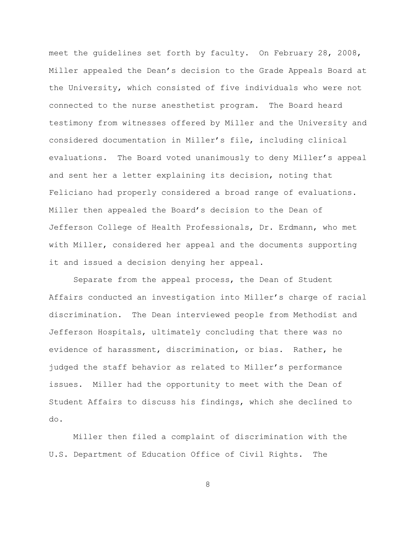meet the quidelines set forth by faculty. On February 28, 2008, Miller appealed the Dean's decision to the Grade Appeals Board at the University, which consisted of five individuals who were not connected to the nurse anesthetist program. The Board heard testimony from witnesses offered by Miller and the University and considered documentation in Miller's file, including clinical evaluations. The Board voted unanimously to deny Miller's appeal and sent her a letter explaining its decision, noting that Feliciano had properly considered a broad range of evaluations. Miller then appealed the Board's decision to the Dean of Jefferson College of Health Professionals, Dr. Erdmann, who met with Miller, considered her appeal and the documents supporting it and issued a decision denying her appeal.

Separate from the appeal process, the Dean of Student Affairs conducted an investigation into Miller's charge of racial discrimination. The Dean interviewed people from Methodist and Jefferson Hospitals, ultimately concluding that there was no evidence of harassment, discrimination, or bias. Rather, he judged the staff behavior as related to Miller's performance issues. Miller had the opportunity to meet with the Dean of Student Affairs to discuss his findings, which she declined to do.

Miller then filed a complaint of discrimination with the U.S. Department of Education Office of Civil Rights. The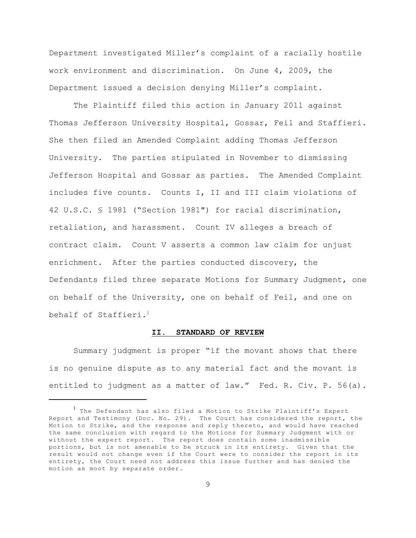Department investigated Miller's complaint of a racially hostile work environment and discrimination. On June 4, 2009, the Department issued a decision denying Miller's complaint.

The Plaintiff filed this action in January 2011 against Thomas Jefferson University Hospital, Gossar, Feil and Staffieri. She then filed an Amended Complaint adding Thomas Jefferson University. The parties stipulated in November to dismissing Jefferson Hospital and Gossar as parties. The Amended Complaint includes five counts. Counts I, II and III claim violations of 42 U.S.C. § 1981 ("Section 1981") for racial discrimination, retaliation, and harassment. Count IV alleges a breach of contract claim. Count V asserts a common law claim for unjust enrichment. After the parties conducted discovery, the Defendants filed three separate Motions for Summary Judgment, one on behalf of the University, one on behalf of Feil, and one on behalf of Staffieri. 1

# **II. STANDARD OF REVIEW**

Summary judgment is proper "if the movant shows that there is no genuine dispute as to any material fact and the movant is entitled to judgment as a matter of law." Fed. R. Civ. P. 56(a).

 $1$  The Defendant has also filed a Motion to Strike Plaintiff's Expert Report and Testimony (Doc. No. 29). The Court has considered the report, the Motion to Strike, and the response and reply thereto, and would have reached the same conclusion with regard to the Motions for Summary Judgment with or without the expert report. The report does contain some inadmissible portions, but is not amenable to be struck in its entirety. Given that the result would not change even if the Court were to consider the report in its entirety, the Court need not address this issue further and has denied the motion as moot by separate order.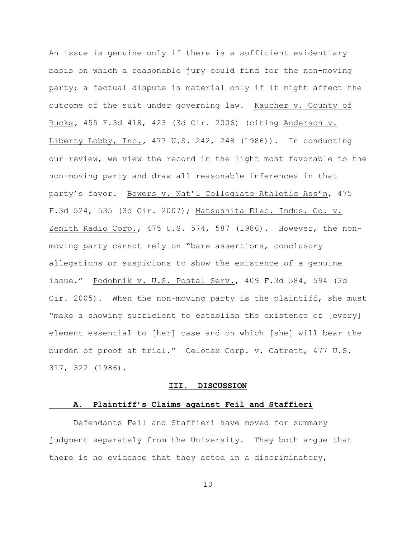An issue is genuine only if there is a sufficient evidentiary basis on which a reasonable jury could find for the non-moving party; a factual dispute is material only if it might affect the outcome of the suit under governing law. Kaucher v. County of Bucks*,* 455 F.3d 418, 423 (3d Cir. 2006) (citing Anderson v. Liberty Lobby, Inc.*,* 477 U.S. 242, 248 (1986)). In conducting our review, we view the record in the light most favorable to the non-moving party and draw all reasonable inferences in that party's favor. Bowers v. Nat'l Collegiate Athletic Ass'n, 475 F.3d 524, 535 (3d Cir. 2007); Matsushita Elec. Indus. Co. v. Zenith Radio Corp., 475 U.S. 574, 587 (1986). However, the nonmoving party cannot rely on "bare assertions, conclusory allegations or suspicions to show the existence of a genuine issue." Podobnik v. U.S. Postal Serv., 409 F.3d 584, 594 (3d Cir. 2005). When the non-moving party is the plaintiff, she must "make a showing sufficient to establish the existence of [every] element essential to [her] case and on which [she] will bear the burden of proof at trial." Celotex Corp. v. Catrett, 477 U.S. 317, 322 (1986).

#### **III. DISCUSSION**

#### **A. Plaintiff's Claims against Feil and Staffieri**

Defendants Feil and Staffieri have moved for summary judgment separately from the University. They both argue that there is no evidence that they acted in a discriminatory,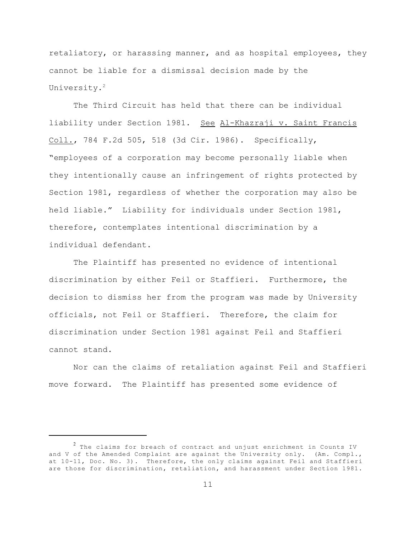retaliatory, or harassing manner, and as hospital employees, they cannot be liable for a dismissal decision made by the University.<sup>2</sup>

The Third Circuit has held that there can be individual liability under Section 1981. See Al-Khazraji v. Saint Francis Coll., 784 F.2d 505, 518 (3d Cir. 1986). Specifically, "employees of a corporation may become personally liable when they intentionally cause an infringement of rights protected by Section 1981, regardless of whether the corporation may also be held liable." Liability for individuals under Section 1981, therefore, contemplates intentional discrimination by a individual defendant.

The Plaintiff has presented no evidence of intentional discrimination by either Feil or Staffieri. Furthermore, the decision to dismiss her from the program was made by University officials, not Feil or Staffieri. Therefore, the claim for discrimination under Section 1981 against Feil and Staffieri cannot stand.

Nor can the claims of retaliation against Feil and Staffieri move forward. The Plaintiff has presented some evidence of

 $1$  The claims for breach of contract and unjust enrichment in Counts IV and V of the Amended Complaint are against the University only. (Am. Compl., at 10-11, Doc. No. 3). Therefore, the only claims against Feil and Staffieri are those for discrimination, retaliation, and harassment under Section 1981.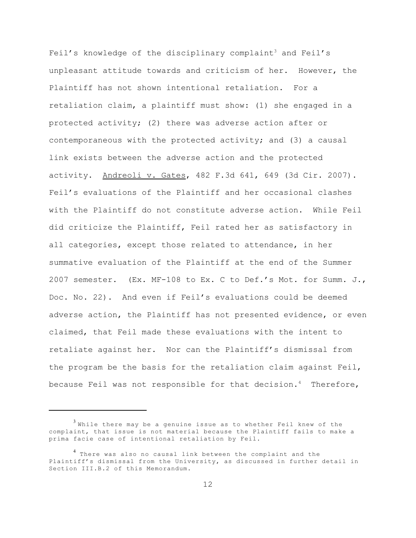Feil's knowledge of the disciplinary complaint<sup>3</sup> and Feil's unpleasant attitude towards and criticism of her. However, the Plaintiff has not shown intentional retaliation. For a retaliation claim, a plaintiff must show: (1) she engaged in a protected activity; (2) there was adverse action after or contemporaneous with the protected activity; and (3) a causal link exists between the adverse action and the protected activity. Andreoli v. Gates, 482 F.3d 641, 649 (3d Cir. 2007). Feil's evaluations of the Plaintiff and her occasional clashes with the Plaintiff do not constitute adverse action. While Feil did criticize the Plaintiff, Feil rated her as satisfactory in all categories, except those related to attendance, in her summative evaluation of the Plaintiff at the end of the Summer 2007 semester. (Ex. MF-108 to Ex. C to Def.'s Mot. for Summ. J., Doc. No. 22). And even if Feil's evaluations could be deemed adverse action, the Plaintiff has not presented evidence, or even claimed, that Feil made these evaluations with the intent to retaliate against her. Nor can the Plaintiff's dismissal from the program be the basis for the retaliation claim against Feil, because Feil was not responsible for that decision.<sup>4</sup> Therefore,

 $3$  While there may be a genuine issue as to whether Feil knew of the complaint, that issue is not material because the Plaintiff fails to make a prima facie case of intentional retaliation by Feil.

<sup>&</sup>lt;sup>4</sup> There was also no causal link between the complaint and the Plaintiff's dismissal from the University, as discussed in further detail in Section III.B.2 of this Memorandum.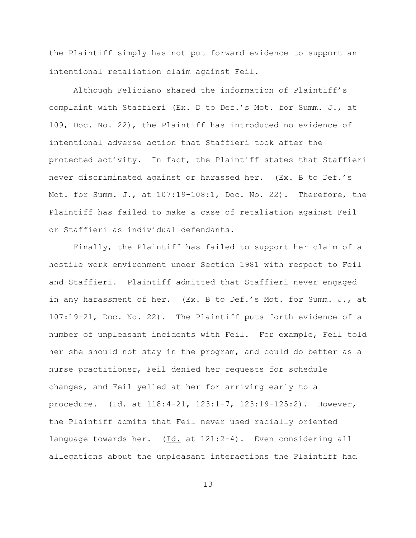the Plaintiff simply has not put forward evidence to support an intentional retaliation claim against Feil.

Although Feliciano shared the information of Plaintiff's complaint with Staffieri (Ex. D to Def.'s Mot. for Summ. J., at 109, Doc. No. 22), the Plaintiff has introduced no evidence of intentional adverse action that Staffieri took after the protected activity. In fact, the Plaintiff states that Staffieri never discriminated against or harassed her. (Ex. B to Def.'s Mot. for Summ. J., at 107:19-108:1, Doc. No. 22). Therefore, the Plaintiff has failed to make a case of retaliation against Feil or Staffieri as individual defendants.

Finally, the Plaintiff has failed to support her claim of a hostile work environment under Section 1981 with respect to Feil and Staffieri. Plaintiff admitted that Staffieri never engaged in any harassment of her. (Ex. B to Def.'s Mot. for Summ. J., at 107:19-21, Doc. No. 22). The Plaintiff puts forth evidence of a number of unpleasant incidents with Feil. For example, Feil told her she should not stay in the program, and could do better as a nurse practitioner, Feil denied her requests for schedule changes, and Feil yelled at her for arriving early to a procedure. (Id. at 118:4-21, 123:1-7, 123:19-125:2). However, the Plaintiff admits that Feil never used racially oriented language towards her. (Id. at 121:2-4). Even considering all allegations about the unpleasant interactions the Plaintiff had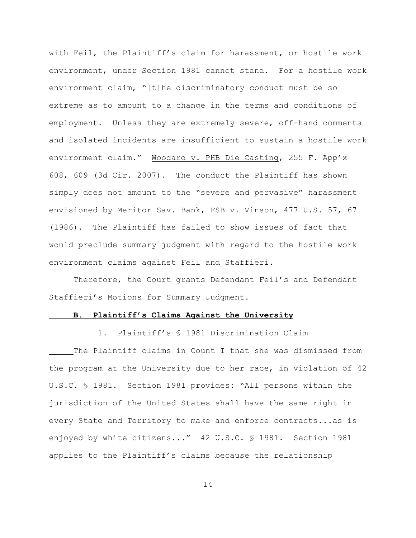with Feil, the Plaintiff's claim for harassment, or hostile work environment, under Section 1981 cannot stand. For a hostile work environment claim, "[t]he discriminatory conduct must be so extreme as to amount to a change in the terms and conditions of employment. Unless they are extremely severe, off-hand comments and isolated incidents are insufficient to sustain a hostile work environment claim." Woodard v. PHB Die Casting, 255 F. App'x 608, 609 (3d Cir. 2007). The conduct the Plaintiff has shown simply does not amount to the "severe and pervasive" harassment envisioned by Meritor Sav. Bank, FSB v. Vinson, 477 U.S. 57, 67 (1986). The Plaintiff has failed to show issues of fact that would preclude summary judgment with regard to the hostile work environment claims against Feil and Staffieri.

Therefore, the Court grants Defendant Feil's and Defendant Staffieri's Motions for Summary Judgment.

#### **B. Plaintiff's Claims Against the University**

### 1. Plaintiff's § 1981 Discrimination Claim

The Plaintiff claims in Count I that she was dismissed from the program at the University due to her race, in violation of 42 U.S.C. § 1981. Section 1981 provides: "All persons within the jurisdiction of the United States shall have the same right in every State and Territory to make and enforce contracts...as is enjoyed by white citizens..." 42 U.S.C. § 1981. Section 1981 applies to the Plaintiff's claims because the relationship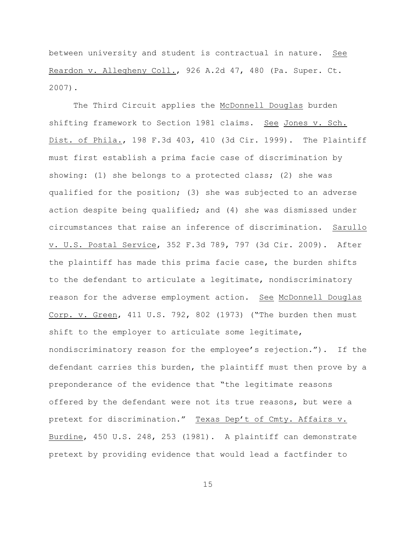between university and student is contractual in nature. See Reardon v. Allegheny Coll., 926 A.2d 47, 480 (Pa. Super. Ct. 2007).

The Third Circuit applies the McDonnell Douglas burden shifting framework to Section 1981 claims. See Jones v. Sch. Dist. of Phila., 198 F.3d 403, 410 (3d Cir. 1999). The Plaintiff must first establish a prima facie case of discrimination by showing: (1) she belongs to a protected class; (2) she was qualified for the position; (3) she was subjected to an adverse action despite being qualified; and (4) she was dismissed under circumstances that raise an inference of discrimination. Sarullo v. U.S. Postal Service, 352 F.3d 789, 797 (3d Cir. 2009). After the plaintiff has made this prima facie case, the burden shifts to the defendant to articulate a legitimate, nondiscriminatory reason for the adverse employment action. See McDonnell Douglas Corp. v. Green, 411 U.S. 792, 802 (1973) ("The burden then must shift to the employer to articulate some legitimate, nondiscriminatory reason for the employee's rejection."). If the defendant carries this burden, the plaintiff must then prove by a preponderance of the evidence that "the legitimate reasons offered by the defendant were not its true reasons, but were a pretext for discrimination." Texas Dep't of Cmty. Affairs v. Burdine, 450 U.S. 248, 253 (1981). A plaintiff can demonstrate pretext by providing evidence that would lead a factfinder to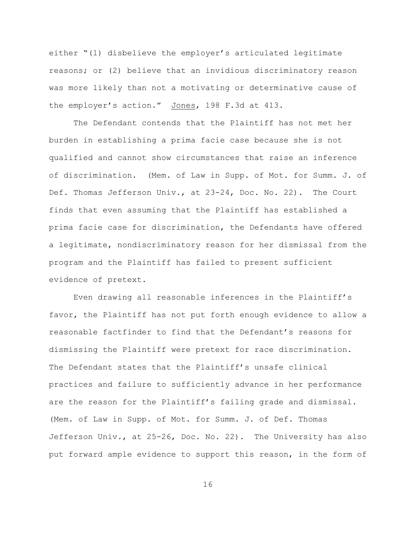either "(1) disbelieve the employer's articulated legitimate reasons; or (2) believe that an invidious discriminatory reason was more likely than not a motivating or determinative cause of the employer's action." Jones, 198 F.3d at 413.

The Defendant contends that the Plaintiff has not met her burden in establishing a prima facie case because she is not qualified and cannot show circumstances that raise an inference of discrimination. (Mem. of Law in Supp. of Mot. for Summ. J. of Def. Thomas Jefferson Univ., at 23-24, Doc. No. 22). The Court finds that even assuming that the Plaintiff has established a prima facie case for discrimination, the Defendants have offered a legitimate, nondiscriminatory reason for her dismissal from the program and the Plaintiff has failed to present sufficient evidence of pretext.

Even drawing all reasonable inferences in the Plaintiff's favor, the Plaintiff has not put forth enough evidence to allow a reasonable factfinder to find that the Defendant's reasons for dismissing the Plaintiff were pretext for race discrimination. The Defendant states that the Plaintiff's unsafe clinical practices and failure to sufficiently advance in her performance are the reason for the Plaintiff's failing grade and dismissal. (Mem. of Law in Supp. of Mot. for Summ. J. of Def. Thomas Jefferson Univ., at 25-26, Doc. No. 22). The University has also put forward ample evidence to support this reason, in the form of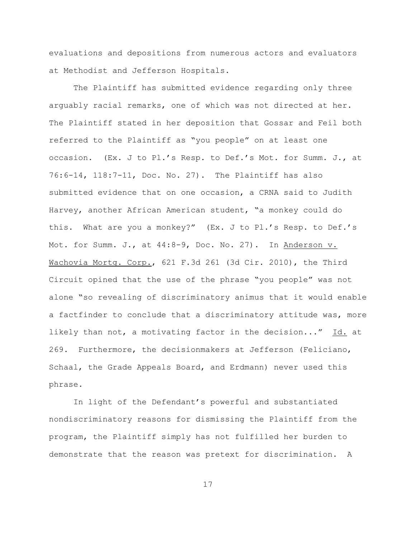evaluations and depositions from numerous actors and evaluators at Methodist and Jefferson Hospitals.

The Plaintiff has submitted evidence regarding only three arguably racial remarks, one of which was not directed at her. The Plaintiff stated in her deposition that Gossar and Feil both referred to the Plaintiff as "you people" on at least one occasion. (Ex. J to Pl.'s Resp. to Def.'s Mot. for Summ. J., at 76:6-14, 118:7-11, Doc. No. 27). The Plaintiff has also submitted evidence that on one occasion, a CRNA said to Judith Harvey, another African American student, "a monkey could do this. What are you a monkey?" (Ex. J to Pl.'s Resp. to Def.'s Mot. for Summ. J., at 44:8-9, Doc. No. 27). In Anderson v. Wachovia Mortg. Corp., 621 F.3d 261 (3d Cir. 2010), the Third Circuit opined that the use of the phrase "you people" was not alone "so revealing of discriminatory animus that it would enable a factfinder to conclude that a discriminatory attitude was, more likely than not, a motivating factor in the decision..." Id. at 269. Furthermore, the decisionmakers at Jefferson (Feliciano, Schaal, the Grade Appeals Board, and Erdmann) never used this phrase.

In light of the Defendant's powerful and substantiated nondiscriminatory reasons for dismissing the Plaintiff from the program, the Plaintiff simply has not fulfilled her burden to demonstrate that the reason was pretext for discrimination. A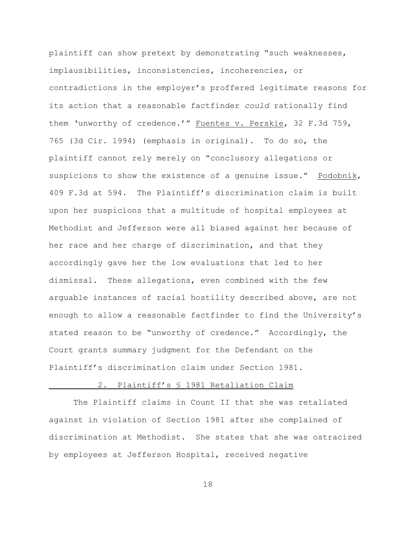plaintiff can show pretext by demonstrating "such weaknesses, implausibilities, inconsistencies, incoherencies, or contradictions in the employer's proffered legitimate reasons for its action that a reasonable factfinder *could* rationally find them 'unworthy of credence.'" Fuentes v. Perskie, 32 F.3d 759, 765 (3d Cir. 1994) (emphasis in original). To do so, the plaintiff cannot rely merely on "conclusory allegations or suspicions to show the existence of a genuine issue." Podobnik, 409 F.3d at 594. The Plaintiff's discrimination claim is built upon her suspicions that a multitude of hospital employees at Methodist and Jefferson were all biased against her because of her race and her charge of discrimination, and that they accordingly gave her the low evaluations that led to her dismissal. These allegations, even combined with the few arguable instances of racial hostility described above, are not enough to allow a reasonable factfinder to find the University's stated reason to be "unworthy of credence." Accordingly, the Court grants summary judgment for the Defendant on the Plaintiff's discrimination claim under Section 1981.

# 2. Plaintiff's § 1981 Retaliation Claim

The Plaintiff claims in Count II that she was retaliated against in violation of Section 1981 after she complained of discrimination at Methodist. She states that she was ostracized by employees at Jefferson Hospital, received negative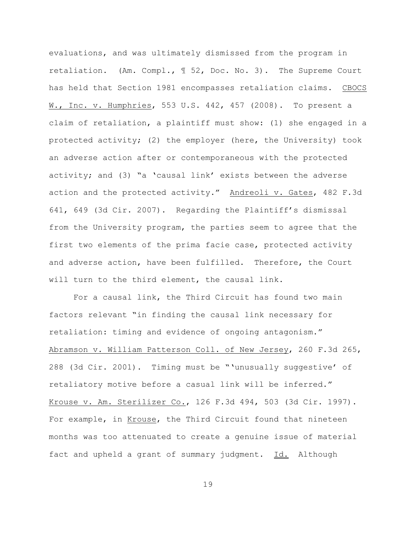evaluations, and was ultimately dismissed from the program in retaliation. (Am. Compl., ¶ 52, Doc. No. 3). The Supreme Court has held that Section 1981 encompasses retaliation claims. CBOCS W., Inc. v. Humphries, 553 U.S. 442, 457 (2008). To present a claim of retaliation, a plaintiff must show: (1) she engaged in a protected activity; (2) the employer (here, the University) took an adverse action after or contemporaneous with the protected activity; and (3) "a 'causal link' exists between the adverse action and the protected activity." Andreoli v. Gates, 482 F.3d 641, 649 (3d Cir. 2007). Regarding the Plaintiff's dismissal from the University program, the parties seem to agree that the first two elements of the prima facie case, protected activity and adverse action, have been fulfilled. Therefore, the Court will turn to the third element, the causal link.

For a causal link, the Third Circuit has found two main factors relevant "in finding the causal link necessary for retaliation: timing and evidence of ongoing antagonism." Abramson v. William Patterson Coll. of New Jersey, 260 F.3d 265, 288 (3d Cir. 2001). Timing must be "'unusually suggestive' of retaliatory motive before a casual link will be inferred." Krouse v. Am. Sterilizer Co., 126 F.3d 494, 503 (3d Cir. 1997). For example, in Krouse, the Third Circuit found that nineteen months was too attenuated to create a genuine issue of material fact and upheld a grant of summary judgment. Id. Although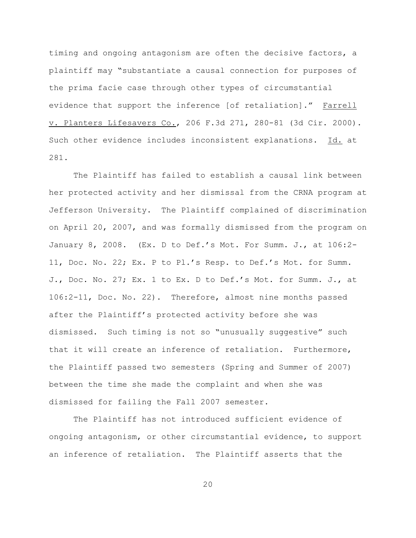timing and ongoing antagonism are often the decisive factors, a plaintiff may "substantiate a causal connection for purposes of the prima facie case through other types of circumstantial evidence that support the inference [of retaliation]." Farrell v. Planters Lifesavers Co., 206 F.3d 271, 280-81 (3d Cir. 2000). Such other evidence includes inconsistent explanations. Id. at 281.

The Plaintiff has failed to establish a causal link between her protected activity and her dismissal from the CRNA program at Jefferson University. The Plaintiff complained of discrimination on April 20, 2007, and was formally dismissed from the program on January 8, 2008. (Ex. D to Def.'s Mot. For Summ. J., at 106:2- 11, Doc. No. 22; Ex. P to Pl.'s Resp. to Def.'s Mot. for Summ. J., Doc. No. 27; Ex. 1 to Ex. D to Def.'s Mot. for Summ. J., at 106:2-11, Doc. No. 22). Therefore, almost nine months passed after the Plaintiff's protected activity before she was dismissed. Such timing is not so "unusually suggestive" such that it will create an inference of retaliation. Furthermore, the Plaintiff passed two semesters (Spring and Summer of 2007) between the time she made the complaint and when she was dismissed for failing the Fall 2007 semester.

The Plaintiff has not introduced sufficient evidence of ongoing antagonism, or other circumstantial evidence, to support an inference of retaliation. The Plaintiff asserts that the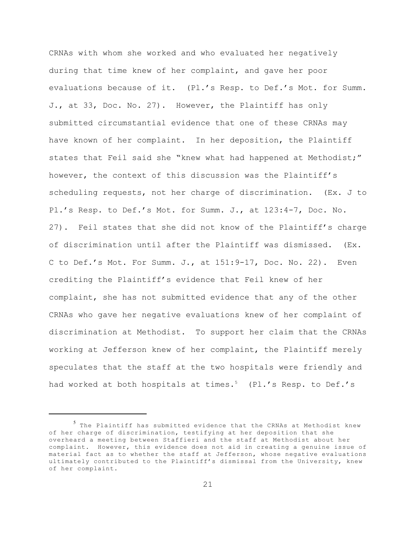CRNAs with whom she worked and who evaluated her negatively during that time knew of her complaint, and gave her poor evaluations because of it. (Pl.'s Resp. to Def.'s Mot. for Summ. J., at 33, Doc. No. 27). However, the Plaintiff has only submitted circumstantial evidence that one of these CRNAs may have known of her complaint. In her deposition, the Plaintiff states that Feil said she "knew what had happened at Methodist;" however, the context of this discussion was the Plaintiff's scheduling requests, not her charge of discrimination. (Ex. J to Pl.'s Resp. to Def.'s Mot. for Summ. J., at 123:4-7, Doc. No. 27). Feil states that she did not know of the Plaintiff's charge of discrimination until after the Plaintiff was dismissed. (Ex. C to Def.'s Mot. For Summ. J., at 151:9-17, Doc. No. 22). Even crediting the Plaintiff's evidence that Feil knew of her complaint, she has not submitted evidence that any of the other CRNAs who gave her negative evaluations knew of her complaint of discrimination at Methodist. To support her claim that the CRNAs working at Jefferson knew of her complaint, the Plaintiff merely speculates that the staff at the two hospitals were friendly and had worked at both hospitals at times.<sup>5</sup> (Pl.'s Resp. to Def.'s

 $5$  The Plaintiff has submitted evidence that the CRNAs at Methodist knew of her charge of discrimination, testifying at her deposition that she overheard a meeting between Staffieri and the staff at Methodist about her complaint. However, this evidence does not aid in creating a genuine issue of material fact as to whether the staff at Jefferson, whose negative evaluations ultimately contributed to the Plaintiff's dismissal from the University, knew of her complaint.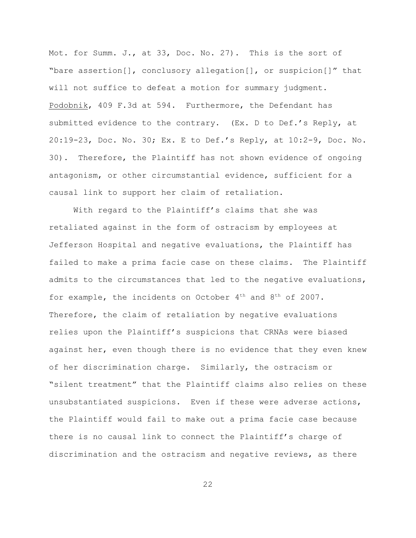Mot. for Summ. J., at 33, Doc. No. 27). This is the sort of "bare assertion[], conclusory allegation[], or suspicion[]" that will not suffice to defeat a motion for summary judgment. Podobnik, 409 F.3d at 594. Furthermore, the Defendant has submitted evidence to the contrary. (Ex. D to Def.'s Reply, at 20:19-23, Doc. No. 30; Ex. E to Def.'s Reply, at 10:2-9, Doc. No. 30). Therefore, the Plaintiff has not shown evidence of ongoing antagonism, or other circumstantial evidence, sufficient for a causal link to support her claim of retaliation.

With regard to the Plaintiff's claims that she was retaliated against in the form of ostracism by employees at Jefferson Hospital and negative evaluations, the Plaintiff has failed to make a prima facie case on these claims. The Plaintiff admits to the circumstances that led to the negative evaluations, for example, the incidents on October  $4<sup>th</sup>$  and  $8<sup>th</sup>$  of 2007. Therefore, the claim of retaliation by negative evaluations relies upon the Plaintiff's suspicions that CRNAs were biased against her, even though there is no evidence that they even knew of her discrimination charge. Similarly, the ostracism or "silent treatment" that the Plaintiff claims also relies on these unsubstantiated suspicions. Even if these were adverse actions, the Plaintiff would fail to make out a prima facie case because there is no causal link to connect the Plaintiff's charge of discrimination and the ostracism and negative reviews, as there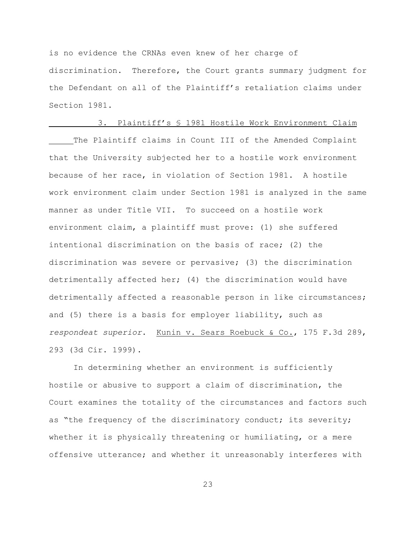is no evidence the CRNAs even knew of her charge of discrimination. Therefore, the Court grants summary judgment for the Defendant on all of the Plaintiff's retaliation claims under Section 1981.

# 3. Plaintiff's § 1981 Hostile Work Environment Claim

The Plaintiff claims in Count III of the Amended Complaint that the University subjected her to a hostile work environment because of her race, in violation of Section 1981. A hostile work environment claim under Section 1981 is analyzed in the same manner as under Title VII. To succeed on a hostile work environment claim, a plaintiff must prove: (1) she suffered intentional discrimination on the basis of race; (2) the discrimination was severe or pervasive; (3) the discrimination detrimentally affected her; (4) the discrimination would have detrimentally affected a reasonable person in like circumstances; and (5) there is a basis for employer liability, such as *respondeat superior*. Kunin v. Sears Roebuck & Co., 175 F.3d 289, 293 (3d Cir. 1999).

In determining whether an environment is sufficiently hostile or abusive to support a claim of discrimination, the Court examines the totality of the circumstances and factors such as "the frequency of the discriminatory conduct; its severity; whether it is physically threatening or humiliating, or a mere offensive utterance; and whether it unreasonably interferes with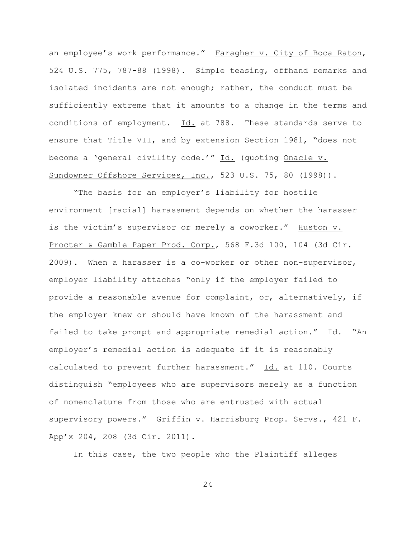an employee's work performance." Faragher v. City of Boca Raton, 524 U.S. 775, 787-88 (1998). Simple teasing, offhand remarks and isolated incidents are not enough; rather, the conduct must be sufficiently extreme that it amounts to a change in the terms and conditions of employment. Id. at 788. These standards serve to ensure that Title VII, and by extension Section 1981, "does not become a 'general civility code.'" Id. (quoting Onacle v. Sundowner Offshore Services, Inc., 523 U.S. 75, 80 (1998)).

"The basis for an employer's liability for hostile environment [racial] harassment depends on whether the harasser is the victim's supervisor or merely a coworker." Huston v. Procter & Gamble Paper Prod. Corp., 568 F.3d 100, 104 (3d Cir. 2009). When a harasser is a co-worker or other non-supervisor, employer liability attaches "only if the employer failed to provide a reasonable avenue for complaint, or, alternatively, if the employer knew or should have known of the harassment and failed to take prompt and appropriate remedial action." Id. "An employer's remedial action is adequate if it is reasonably calculated to prevent further harassment." Id. at 110. Courts distinguish "employees who are supervisors merely as a function of nomenclature from those who are entrusted with actual supervisory powers." Griffin v. Harrisburg Prop. Servs., 421 F. App'x 204, 208 (3d Cir. 2011).

In this case, the two people who the Plaintiff alleges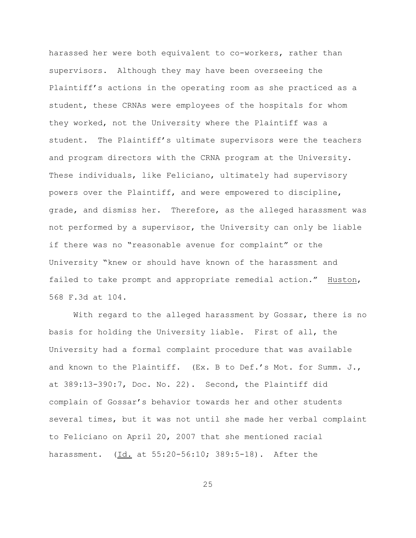harassed her were both equivalent to co-workers, rather than supervisors. Although they may have been overseeing the Plaintiff's actions in the operating room as she practiced as a student, these CRNAs were employees of the hospitals for whom they worked, not the University where the Plaintiff was a student. The Plaintiff's ultimate supervisors were the teachers and program directors with the CRNA program at the University. These individuals, like Feliciano, ultimately had supervisory powers over the Plaintiff, and were empowered to discipline, grade, and dismiss her. Therefore, as the alleged harassment was not performed by a supervisor, the University can only be liable if there was no "reasonable avenue for complaint" or the University "knew or should have known of the harassment and failed to take prompt and appropriate remedial action." Huston, 568 F.3d at 104.

With regard to the alleged harassment by Gossar, there is no basis for holding the University liable. First of all, the University had a formal complaint procedure that was available and known to the Plaintiff. (Ex. B to Def.'s Mot. for Summ. J., at 389:13-390:7, Doc. No. 22). Second, the Plaintiff did complain of Gossar's behavior towards her and other students several times, but it was not until she made her verbal complaint to Feliciano on April 20, 2007 that she mentioned racial harassment. (Id. at 55:20-56:10; 389:5-18). After the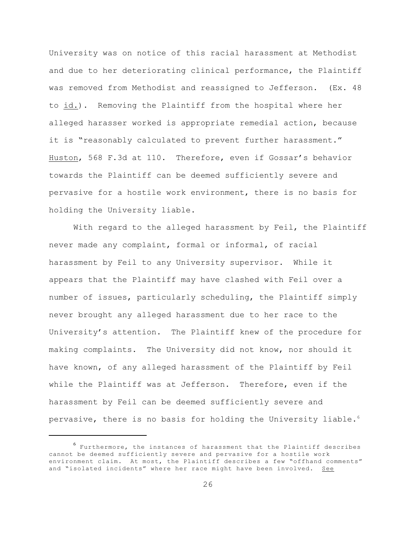University was on notice of this racial harassment at Methodist and due to her deteriorating clinical performance, the Plaintiff was removed from Methodist and reassigned to Jefferson. (Ex. 48 to id.). Removing the Plaintiff from the hospital where her alleged harasser worked is appropriate remedial action, because it is "reasonably calculated to prevent further harassment." Huston, 568 F.3d at 110. Therefore, even if Gossar's behavior towards the Plaintiff can be deemed sufficiently severe and pervasive for a hostile work environment, there is no basis for holding the University liable.

With regard to the alleged harassment by Feil, the Plaintiff never made any complaint, formal or informal, of racial harassment by Feil to any University supervisor. While it appears that the Plaintiff may have clashed with Feil over a number of issues, particularly scheduling, the Plaintiff simply never brought any alleged harassment due to her race to the University's attention. The Plaintiff knew of the procedure for making complaints. The University did not know, nor should it have known, of any alleged harassment of the Plaintiff by Feil while the Plaintiff was at Jefferson. Therefore, even if the harassment by Feil can be deemed sufficiently severe and pervasive, there is no basis for holding the University liable.<sup>6</sup>

 $^6$  Furthermore, the instances of harassment that the Plaintiff describes cannot be deemed sufficiently severe and pervasive for a hostile work environment claim. At most, the Plaintiff describes a few "offhand comments" and "isolated incidents" where her race might have been involved. See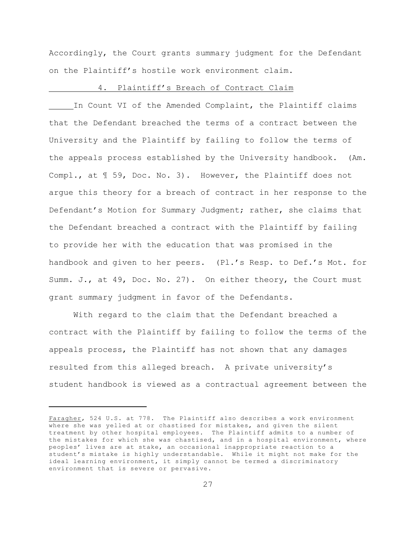Accordingly, the Court grants summary judgment for the Defendant on the Plaintiff's hostile work environment claim.

#### 4. Plaintiff's Breach of Contract Claim

In Count VI of the Amended Complaint, the Plaintiff claims that the Defendant breached the terms of a contract between the University and the Plaintiff by failing to follow the terms of the appeals process established by the University handbook. (Am. Compl., at ¶ 59, Doc. No. 3). However, the Plaintiff does not argue this theory for a breach of contract in her response to the Defendant's Motion for Summary Judgment; rather, she claims that the Defendant breached a contract with the Plaintiff by failing to provide her with the education that was promised in the handbook and given to her peers. (Pl.'s Resp. to Def.'s Mot. for Summ. J., at 49, Doc. No. 27). On either theory, the Court must grant summary judgment in favor of the Defendants.

With regard to the claim that the Defendant breached a contract with the Plaintiff by failing to follow the terms of the appeals process, the Plaintiff has not shown that any damages resulted from this alleged breach. A private university's student handbook is viewed as a contractual agreement between the

Faragher, 524 U.S. at 778. The Plaintiff also describes a work environment where she was yelled at or chastised for mistakes, and given the silent treatment by other hospital employees. The Plaintiff admits to a number of the mistakes for which she was chastised, and in a hospital environment, where peoples' lives are at stake, an occasional inappropriate reaction to a student's mistake is highly understandable. While it might not make for the ideal learning environment, it simply cannot be termed a discriminatory environment that is severe or pervasive.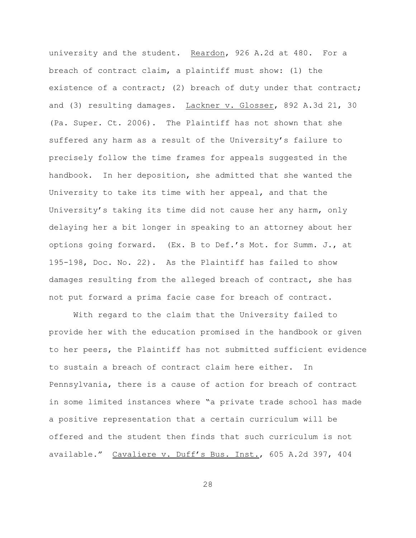university and the student. Reardon, 926 A.2d at 480. For a breach of contract claim, a plaintiff must show: (1) the existence of a contract; (2) breach of duty under that contract; and (3) resulting damages. Lackner v. Glosser, 892 A.3d 21, 30 (Pa. Super. Ct. 2006). The Plaintiff has not shown that she suffered any harm as a result of the University's failure to precisely follow the time frames for appeals suggested in the handbook. In her deposition, she admitted that she wanted the University to take its time with her appeal, and that the University's taking its time did not cause her any harm, only delaying her a bit longer in speaking to an attorney about her options going forward. (Ex. B to Def.'s Mot. for Summ. J., at 195-198, Doc. No. 22). As the Plaintiff has failed to show damages resulting from the alleged breach of contract, she has not put forward a prima facie case for breach of contract.

With regard to the claim that the University failed to provide her with the education promised in the handbook or given to her peers, the Plaintiff has not submitted sufficient evidence to sustain a breach of contract claim here either. In Pennsylvania, there is a cause of action for breach of contract in some limited instances where "a private trade school has made a positive representation that a certain curriculum will be offered and the student then finds that such curriculum is not available." Cavaliere v. Duff's Bus. Inst., 605 A.2d 397, 404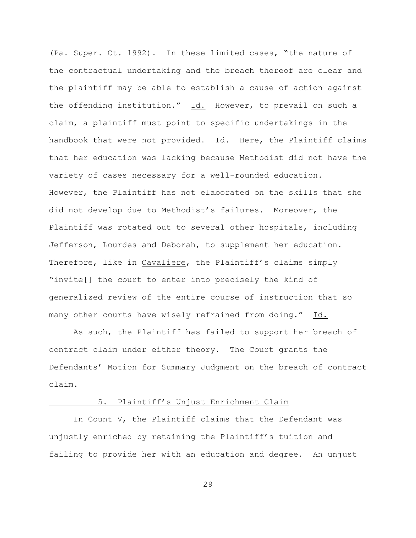(Pa. Super. Ct. 1992). In these limited cases, "the nature of the contractual undertaking and the breach thereof are clear and the plaintiff may be able to establish a cause of action against the offending institution." Id. However, to prevail on such a claim, a plaintiff must point to specific undertakings in the handbook that were not provided. Id. Here, the Plaintiff claims that her education was lacking because Methodist did not have the variety of cases necessary for a well-rounded education. However, the Plaintiff has not elaborated on the skills that she did not develop due to Methodist's failures. Moreover, the Plaintiff was rotated out to several other hospitals, including Jefferson, Lourdes and Deborah, to supplement her education. Therefore, like in Cavaliere, the Plaintiff's claims simply "invite[] the court to enter into precisely the kind of generalized review of the entire course of instruction that so many other courts have wisely refrained from doing." Id.

As such, the Plaintiff has failed to support her breach of contract claim under either theory. The Court grants the Defendants' Motion for Summary Judgment on the breach of contract claim.

# 5. Plaintiff's Unjust Enrichment Claim

In Count V, the Plaintiff claims that the Defendant was unjustly enriched by retaining the Plaintiff's tuition and failing to provide her with an education and degree. An unjust